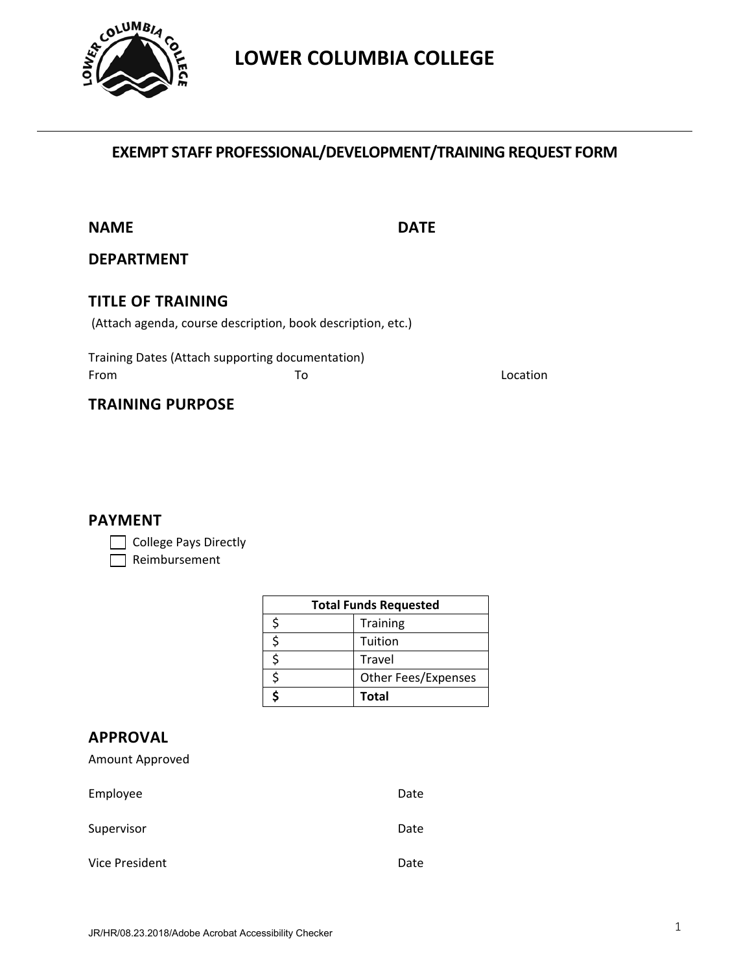

# **LOWER COLUMBIA COLLEGE**

## **EXEMPT STAFF PROFESSIONAL/DEVELOPMENT/TRAINING REQUEST FORM**

**NAME DATE**

DATE

#### **DEPARTMENT**

## **TITLE OF TRAINING**

(Attach agenda, course description, book description, etc.)

 Training Dates (Attach supporting documentation) From Execution Contract To the Contract of the Location

## **TRAINING PURPOSE**

#### **PAYMENT**

College Pays Directly

Reimbursement

| <b>Total Funds Requested</b> |                            |  |
|------------------------------|----------------------------|--|
|                              | <b>Training</b>            |  |
|                              | Tuition                    |  |
|                              | Travel                     |  |
|                              | <b>Other Fees/Expenses</b> |  |
|                              | <b>Total</b>               |  |

### **APPROVAL**

|  | Amount Approved |
|--|-----------------|
|--|-----------------|

| Employee       | Date |
|----------------|------|
| Supervisor     | Date |
| Vice President | Date |